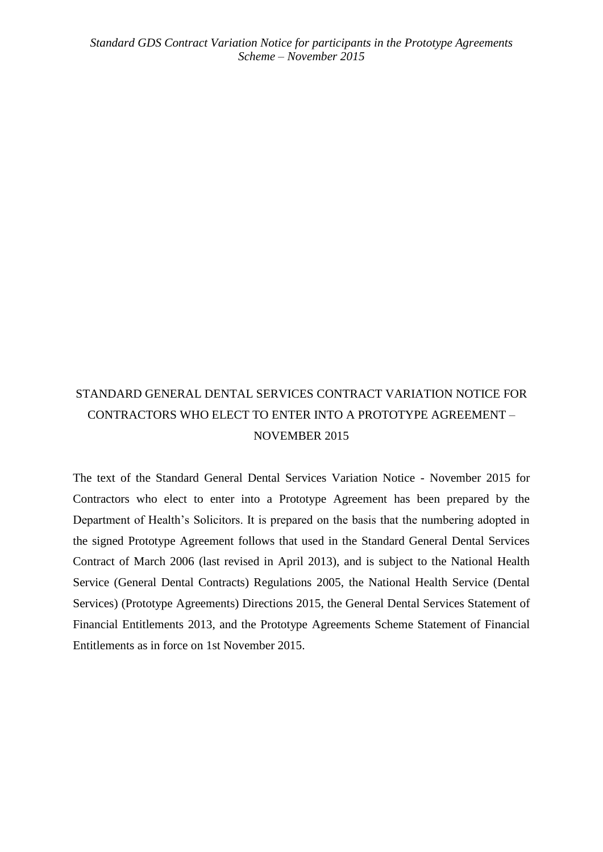# STANDARD GENERAL DENTAL SERVICES CONTRACT VARIATION NOTICE FOR CONTRACTORS WHO ELECT TO ENTER INTO A PROTOTYPE AGREEMENT – NOVEMBER 2015

The text of the Standard General Dental Services Variation Notice - November 2015 for Contractors who elect to enter into a Prototype Agreement has been prepared by the Department of Health's Solicitors. It is prepared on the basis that the numbering adopted in the signed Prototype Agreement follows that used in the Standard General Dental Services Contract of March 2006 (last revised in April 2013), and is subject to the National Health Service (General Dental Contracts) Regulations 2005, the National Health Service (Dental Services) (Prototype Agreements) Directions 2015, the General Dental Services Statement of Financial Entitlements 2013, and the Prototype Agreements Scheme Statement of Financial Entitlements as in force on 1st November 2015.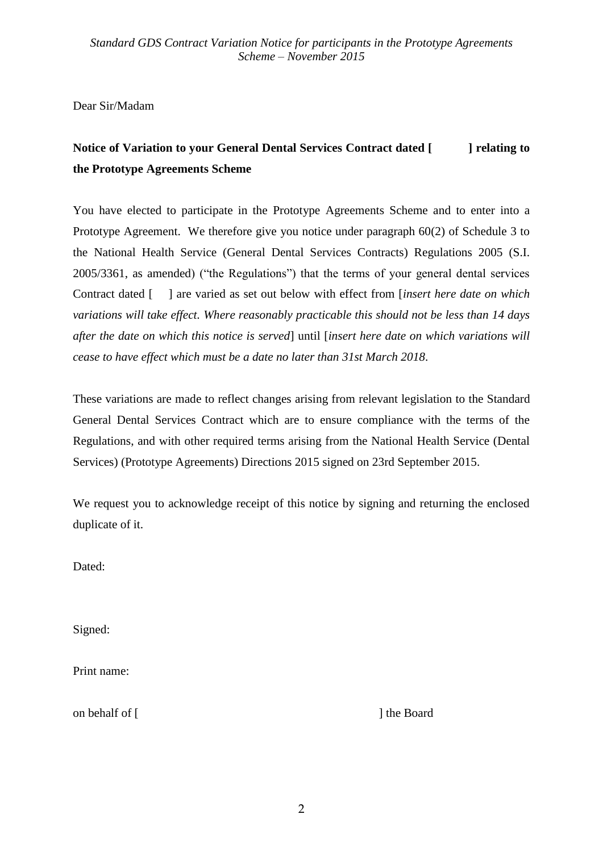Dear Sir/Madam

# **Notice of Variation to your General Dental Services Contract dated [ ] relating to the Prototype Agreements Scheme**

You have elected to participate in the Prototype Agreements Scheme and to enter into a Prototype Agreement. We therefore give you notice under paragraph 60(2) of Schedule 3 to the National Health Service (General Dental Services Contracts) Regulations 2005 (S.I. 2005/3361, as amended) ("the Regulations") that the terms of your general dental services Contract dated [ ] are varied as set out below with effect from [*insert here date on which variations will take effect. Where reasonably practicable this should not be less than 14 days after the date on which this notice is served*] until [*insert here date on which variations will cease to have effect which must be a date no later than 31st March 2018*.

These variations are made to reflect changes arising from relevant legislation to the Standard General Dental Services Contract which are to ensure compliance with the terms of the Regulations, and with other required terms arising from the National Health Service (Dental Services) (Prototype Agreements) Directions 2015 signed on 23rd September 2015.

We request you to acknowledge receipt of this notice by signing and returning the enclosed duplicate of it.

Dated:

Signed:

Print name:

on behalf of [ ] the Board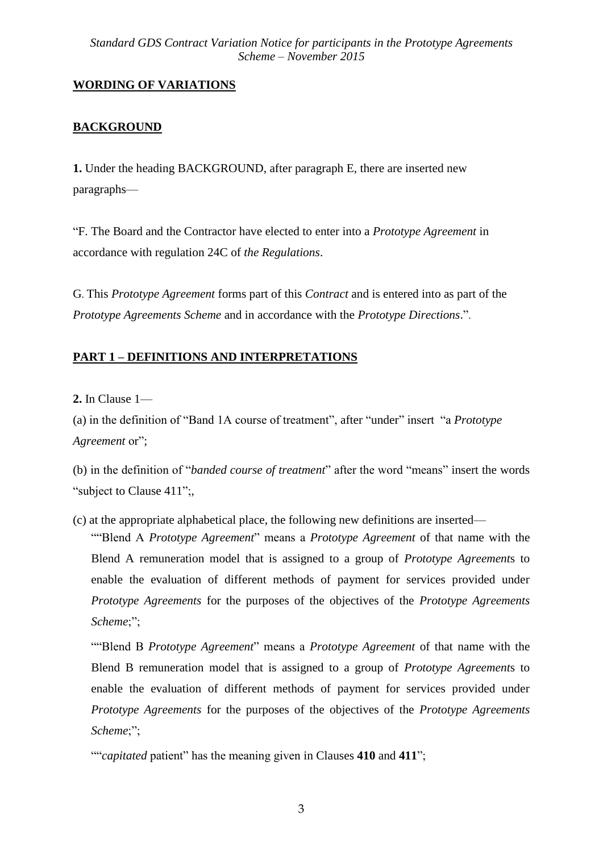## **WORDING OF VARIATIONS**

## **BACKGROUND**

**1.** Under the heading BACKGROUND, after paragraph E, there are inserted new paragraphs—

"F. The Board and the Contractor have elected to enter into a *Prototype Agreement* in accordance with regulation 24C of *the Regulations*.

G. This *Prototype Agreement* forms part of this *Contract* and is entered into as part of the *Prototype Agreements Scheme* and in accordance with the *Prototype Directions*.".

## **PART 1 – DEFINITIONS AND INTERPRETATIONS**

**2.** In Clause 1—

(a) in the definition of "Band 1A course of treatment", after "under" insert "a *Prototype Agreement* or";

(b) in the definition of "*banded course of treatment*" after the word "means" insert the words "subject to Clause 411";

(c) at the appropriate alphabetical place, the following new definitions are inserted—

""Blend A *Prototype Agreement*" means a *Prototype Agreement* of that name with the Blend A remuneration model that is assigned to a group of *Prototype Agreement*s to enable the evaluation of different methods of payment for services provided under *Prototype Agreements* for the purposes of the objectives of the *Prototype Agreements Scheme*;";

""Blend B *Prototype Agreement*" means a *Prototype Agreement* of that name with the Blend B remuneration model that is assigned to a group of *Prototype Agreement*s to enable the evaluation of different methods of payment for services provided under *Prototype Agreements* for the purposes of the objectives of the *Prototype Agreements Scheme*;";

<sup>&</sup>quot;"*capitated* patient" has the meaning given in Clauses **410** and **411**";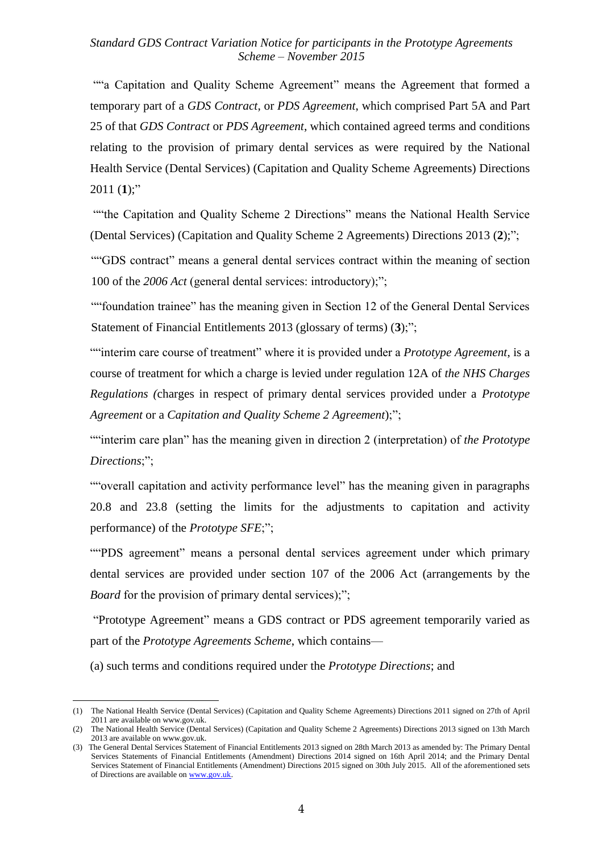""a Capitation and Quality Scheme Agreement" means the Agreement that formed a temporary part of a *GDS Contract*, or *PDS Agreement*, which comprised Part 5A and Part 25 of that *GDS Contract* or *PDS Agreement*, which contained agreed terms and conditions relating to the provision of primary dental services as were required by the National Health Service (Dental Services) (Capitation and Quality Scheme Agreements) Directions 2011 $(1)$ ;"

""the Capitation and Quality Scheme 2 Directions" means the National Health Service (Dental Services) (Capitation and Quality Scheme 2 Agreements) Directions 2013 (**2**);";

""GDS contract" means a general dental services contract within the meaning of section 100 of the *2006 Act* (general dental services: introductory);";

""foundation trainee" has the meaning given in Section 12 of the General Dental Services Statement of Financial Entitlements 2013 (glossary of terms) (**3**);";

""interim care course of treatment" where it is provided under a *Prototype Agreement*, is a course of treatment for which a charge is levied under regulation 12A of *the NHS Charges Regulations (*charges in respect of primary dental services provided under a *Prototype Agreement* or a *Capitation and Quality Scheme 2 Agreement*);";

""interim care plan" has the meaning given in direction 2 (interpretation) of *the Prototype Directions*;";

""overall capitation and activity performance level" has the meaning given in paragraphs 20.8 and 23.8 (setting the limits for the adjustments to capitation and activity performance) of the *Prototype SFE*;";

""PDS agreement" means a personal dental services agreement under which primary dental services are provided under section 107 of the 2006 Act (arrangements by the *Board* for the provision of primary dental services);";

"Prototype Agreement" means a GDS contract or PDS agreement temporarily varied as part of the *Prototype Agreements Scheme*, which contains—

(a) such terms and conditions required under the *Prototype Directions*; and

1

<sup>(1)</sup> The National Health Service (Dental Services) (Capitation and Quality Scheme Agreements) Directions 2011 signed on 27th of April 2011 are available on www.gov.uk.

<sup>(2)</sup> The National Health Service (Dental Services) (Capitation and Quality Scheme 2 Agreements) Directions 2013 signed on 13th March 2013 are available on www.gov.uk.

<sup>(3)</sup> The General Dental Services Statement of Financial Entitlements 2013 signed on 28th March 2013 as amended by: The Primary Dental Services Statements of Financial Entitlements (Amendment) Directions 2014 signed on 16th April 2014; and the Primary Dental Services Statement of Financial Entitlements (Amendment) Directions 2015 signed on 30th July 2015. All of the aforementioned sets of Directions are available o[n www.gov.uk.](http://www.gov.uk/)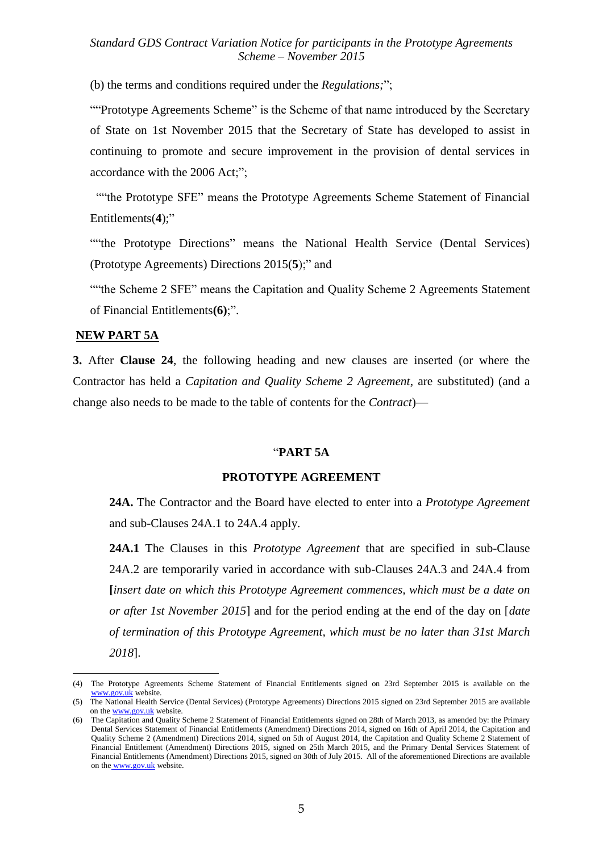(b) the terms and conditions required under the *Regulations;*";

""Prototype Agreements Scheme" is the Scheme of that name introduced by the Secretary of State on 1st November 2015 that the Secretary of State has developed to assist in continuing to promote and secure improvement in the provision of dental services in accordance with the 2006 Act;";

 ""the Prototype SFE" means the Prototype Agreements Scheme Statement of Financial Entitlements(**4**);"

""the Prototype Directions" means the National Health Service (Dental Services) (Prototype Agreements) Directions 2015(**5**);" and

""the Scheme 2 SFE" means the Capitation and Quality Scheme 2 Agreements Statement of Financial Entitlements**(6)**;".

#### **NEW PART 5A**

1

**3.** After **Clause 24**, the following heading and new clauses are inserted (or where the Contractor has held a *Capitation and Quality Scheme 2 Agreement*, are substituted) (and a change also needs to be made to the table of contents for the *Contract*)—

#### "**PART 5A**

#### **PROTOTYPE AGREEMENT**

**24A.** The Contractor and the Board have elected to enter into a *Prototype Agreement* and sub-Clauses 24A.1 to 24A.4 apply.

**24A.1** The Clauses in this *Prototype Agreement* that are specified in sub-Clause 24A.2 are temporarily varied in accordance with sub-Clauses 24A.3 and 24A.4 from **[***insert date on which this Prototype Agreement commences, which must be a date on or after 1st November 2015*] and for the period ending at the end of the day on [*date of termination of this Prototype Agreement, which must be no later than 31st March 2018*].

<sup>(4)</sup> The Prototype Agreements Scheme Statement of Financial Entitlements signed on 23rd September 2015 is available on the [www.gov.uk](http://www.gov.uk/) website.

<sup>(5)</sup> The National Health Service (Dental Services) (Prototype Agreements) Directions 2015 signed on 23rd September 2015 are available on the [www.gov.uk](http://www.gov.uk/) website.

<sup>(6)</sup> The Capitation and Quality Scheme 2 Statement of Financial Entitlements signed on 28th of March 2013, as amended by: the Primary Dental Services Statement of Financial Entitlements (Amendment) Directions 2014, signed on 16th of April 2014, the Capitation and Quality Scheme 2 (Amendment) Directions 2014, signed on 5th of August 2014, the Capitation and Quality Scheme 2 Statement of Financial Entitlement (Amendment) Directions 2015, signed on 25th March 2015, and the Primary Dental Services Statement of Financial Entitlements (Amendment) Directions 2015, signed on 30th of July 2015. All of the aforementioned Directions are available on the [www.gov.uk](../../../Documents%20and%20Settings/83580704/Local%20Settings/Temporary%20Internet%20Files/users/83580704/%20www.dh.gov.uk) website.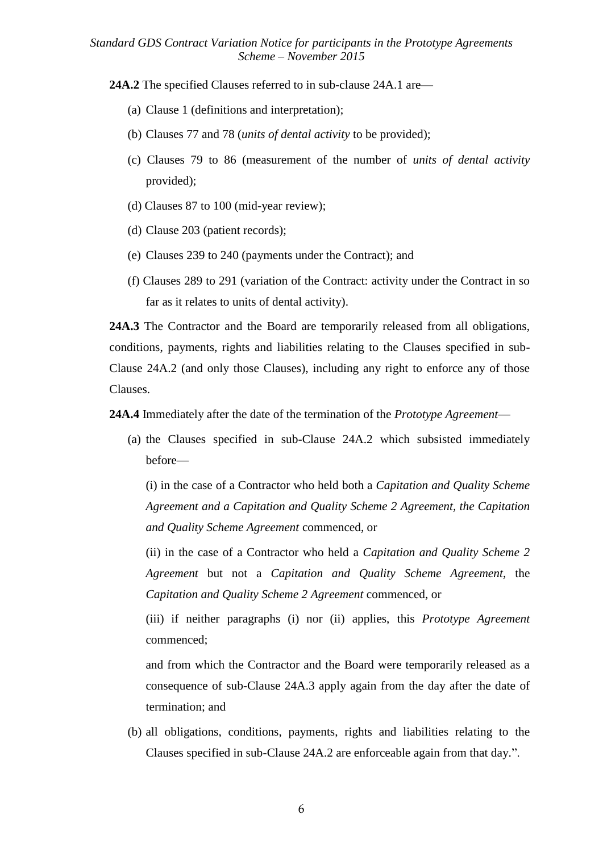**24A.2** The specified Clauses referred to in sub-clause 24A.1 are—

- (a) Clause 1 (definitions and interpretation);
- (b) Clauses 77 and 78 (*units of dental activity* to be provided);
- (c) Clauses 79 to 86 (measurement of the number of *units of dental activity* provided);
- (d) Clauses 87 to 100 (mid-year review);
- (d) Clause 203 (patient records);
- (e) Clauses 239 to 240 (payments under the Contract); and
- (f) Clauses 289 to 291 (variation of the Contract: activity under the Contract in so far as it relates to units of dental activity).

**24A.3** The Contractor and the Board are temporarily released from all obligations, conditions, payments, rights and liabilities relating to the Clauses specified in sub-Clause 24A.2 (and only those Clauses), including any right to enforce any of those Clauses.

**24A.4** Immediately after the date of the termination of the *Prototype Agreement*—

(a) the Clauses specified in sub-Clause 24A.2 which subsisted immediately before—

(i) in the case of a Contractor who held both a *Capitation and Quality Scheme Agreement and a Capitation and Quality Scheme 2 Agreement, the Capitation and Quality Scheme Agreement* commenced, or

(ii) in the case of a Contractor who held a *Capitation and Quality Scheme 2 Agreement* but not a *Capitation and Quality Scheme Agreement*, the *Capitation and Quality Scheme 2 Agreement* commenced, or

(iii) if neither paragraphs (i) nor (ii) applies, this *Prototype Agreement* commenced;

and from which the Contractor and the Board were temporarily released as a consequence of sub-Clause 24A.3 apply again from the day after the date of termination; and

(b) all obligations, conditions, payments, rights and liabilities relating to the Clauses specified in sub-Clause 24A.2 are enforceable again from that day.".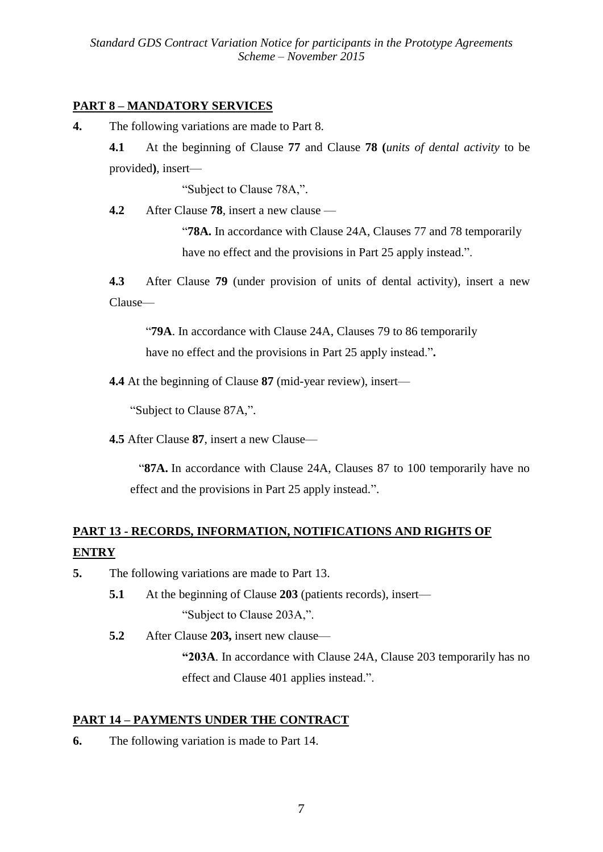## **PART 8 – MANDATORY SERVICES**

**4.** The following variations are made to Part 8.

**4.1** At the beginning of Clause **77** and Clause **78 (***units of dental activity* to be provided**)**, insert—

"Subject to Clause 78A,".

**4.2** After Clause **78**, insert a new clause —

"**78A.** In accordance with Clause 24A, Clauses 77 and 78 temporarily have no effect and the provisions in Part 25 apply instead.".

**4.3** After Clause **79** (under provision of units of dental activity), insert a new Clause—

"**79A**. In accordance with Clause 24A, Clauses 79 to 86 temporarily have no effect and the provisions in Part 25 apply instead."**.**

**4.4** At the beginning of Clause **87** (mid-year review), insert—

"Subject to Clause 87A,".

**4.5** After Clause **87**, insert a new Clause—

"**87A.** In accordance with Clause 24A, Clauses 87 to 100 temporarily have no effect and the provisions in Part 25 apply instead.".

# **PART 13 - RECORDS, INFORMATION, NOTIFICATIONS AND RIGHTS OF ENTRY**

- **5.** The following variations are made to Part 13.
	- **5.1** At the beginning of Clause **203** (patients records), insert— "Subject to Clause 203A,".
	- **5.2** After Clause **203,** insert new clause—

**"203A**. In accordance with Clause 24A, Clause 203 temporarily has no effect and Clause 401 applies instead.".

## **PART 14 – PAYMENTS UNDER THE CONTRACT**

**6.** The following variation is made to Part 14.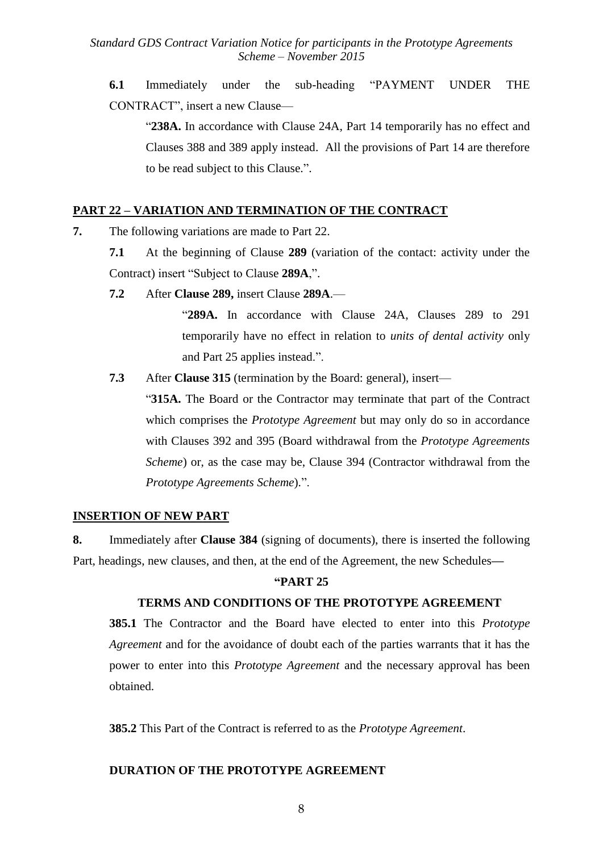**6.1** Immediately under the sub-heading "PAYMENT UNDER THE CONTRACT", insert a new Clause—

"**238A.** In accordance with Clause 24A, Part 14 temporarily has no effect and Clauses 388 and 389 apply instead. All the provisions of Part 14 are therefore to be read subject to this Clause.".

#### **PART 22 – VARIATION AND TERMINATION OF THE CONTRACT**

- **7.** The following variations are made to Part 22.
	- **7.1** At the beginning of Clause **289** (variation of the contact: activity under the Contract) insert "Subject to Clause **289A**,".
	- **7.2** After **Clause 289,** insert Clause **289A**.—

"**289A.** In accordance with Clause 24A, Clauses 289 to 291 temporarily have no effect in relation to *units of dental activity* only and Part 25 applies instead.".

**7.3** After **Clause 315** (termination by the Board: general), insert—

"**315A.** The Board or the Contractor may terminate that part of the Contract which comprises the *Prototype Agreement* but may only do so in accordance with Clauses 392 and 395 (Board withdrawal from the *Prototype Agreements Scheme*) or, as the case may be, Clause 394 (Contractor withdrawal from the *Prototype Agreements Scheme*).".

### **INSERTION OF NEW PART**

**8.** Immediately after **Clause 384** (signing of documents), there is inserted the following Part, headings, new clauses, and then, at the end of the Agreement, the new Schedules**—**

#### **"PART 25**

### **TERMS AND CONDITIONS OF THE PROTOTYPE AGREEMENT**

**385.1** The Contractor and the Board have elected to enter into this *Prototype Agreement* and for the avoidance of doubt each of the parties warrants that it has the power to enter into this *Prototype Agreement* and the necessary approval has been obtained.

**385.2** This Part of the Contract is referred to as the *Prototype Agreement*.

### **DURATION OF THE PROTOTYPE AGREEMENT**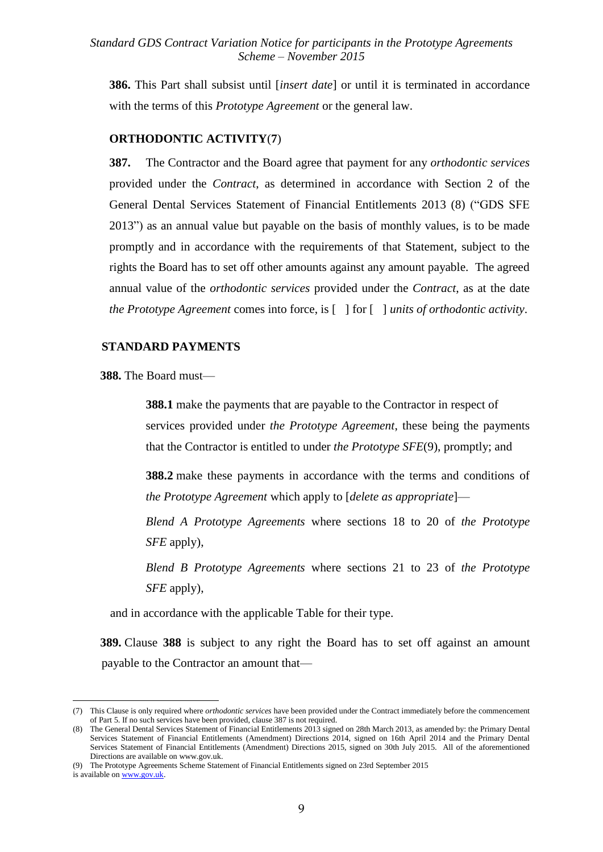**386.** This Part shall subsist until [*insert date*] or until it is terminated in accordance with the terms of this *Prototype Agreement* or the general law.

#### **ORTHODONTIC ACTIVITY**(**7**)

**387.** The Contractor and the Board agree that payment for any *orthodontic services* provided under the *Contract*, as determined in accordance with Section 2 of the General Dental Services Statement of Financial Entitlements 2013 (8) ("GDS SFE 2013") as an annual value but payable on the basis of monthly values, is to be made promptly and in accordance with the requirements of that Statement, subject to the rights the Board has to set off other amounts against any amount payable. The agreed annual value of the *orthodontic services* provided under the *Contract*, as at the date *the Prototype Agreement* comes into force, is [ ] for [ ] *units of orthodontic activity*.

#### **STANDARD PAYMENTS**

**388.** The Board must—

**388.1** make the payments that are payable to the Contractor in respect of services provided under *the Prototype Agreement*, these being the payments that the Contractor is entitled to under *the Prototype SFE*(9), promptly; and

**388.2** make these payments in accordance with the terms and conditions of *the Prototype Agreement* which apply to [*delete as appropriate*]—

*Blend A Prototype Agreements* where sections 18 to 20 of *the Prototype SFE* apply),

*Blend B Prototype Agreements* where sections 21 to 23 of *the Prototype SFE* apply),

and in accordance with the applicable Table for their type.

**389.** Clause **388** is subject to any right the Board has to set off against an amount payable to the Contractor an amount that—

1

<sup>(7)</sup> This Clause is only required where *orthodontic services* have been provided under the Contract immediately before the commencement of Part 5. If no such services have been provided, clause 387 is not required.

<sup>(8)</sup> The General Dental Services Statement of Financial Entitlements 2013 signed on 28th March 2013, as amended by: the Primary Dental Services Statement of Financial Entitlements (Amendment) Directions 2014, signed on 16th April 2014 and the Primary Dental Services Statement of Financial Entitlements (Amendment) Directions 2015, signed on 30th July 2015. All of the aforementioned Directions are available on www.gov.uk.

<sup>(9)</sup> The Prototype Agreements Scheme Statement of Financial Entitlements signed on 23rd September 2015

is available o[n www.gov.uk.](http://www.gov.uk/)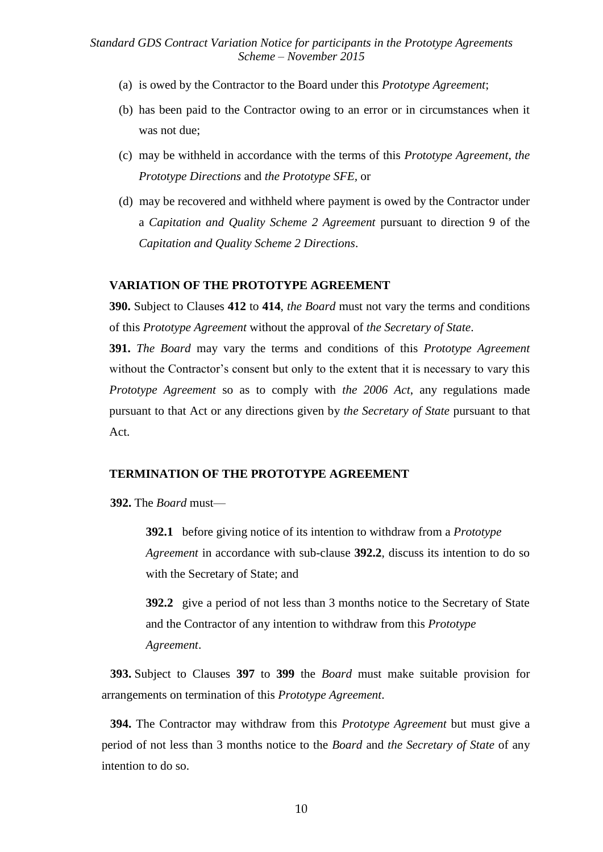- (a) is owed by the Contractor to the Board under this *Prototype Agreement*;
- (b) has been paid to the Contractor owing to an error or in circumstances when it was not due;
- (c) may be withheld in accordance with the terms of this *Prototype Agreement, the Prototype Directions* and *the Prototype SFE,* or
- (d) may be recovered and withheld where payment is owed by the Contractor under a *Capitation and Quality Scheme 2 Agreement* pursuant to direction 9 of the *Capitation and Quality Scheme 2 Directions*.

#### **VARIATION OF THE PROTOTYPE AGREEMENT**

**390.** Subject to Clauses **412** to **414**, *the Board* must not vary the terms and conditions of this *Prototype Agreement* without the approval of *the Secretary of State*.

**391.** *The Board* may vary the terms and conditions of this *Prototype Agreement* without the Contractor's consent but only to the extent that it is necessary to vary this *Prototype Agreement* so as to comply with *the 2006 Act*, any regulations made pursuant to that Act or any directions given by *the Secretary of State* pursuant to that Act.

#### **TERMINATION OF THE PROTOTYPE AGREEMENT**

**392.** The *Board* must—

**392.1** before giving notice of its intention to withdraw from a *Prototype Agreement* in accordance with sub-clause **392.2**, discuss its intention to do so with the Secretary of State; and

**392.2** give a period of not less than 3 months notice to the Secretary of State and the Contractor of any intention to withdraw from this *Prototype Agreement*.

**393.** Subject to Clauses **397** to **399** the *Board* must make suitable provision for arrangements on termination of this *Prototype Agreement*.

**394.** The Contractor may withdraw from this *Prototype Agreement* but must give a period of not less than 3 months notice to the *Board* and *the Secretary of State* of any intention to do so.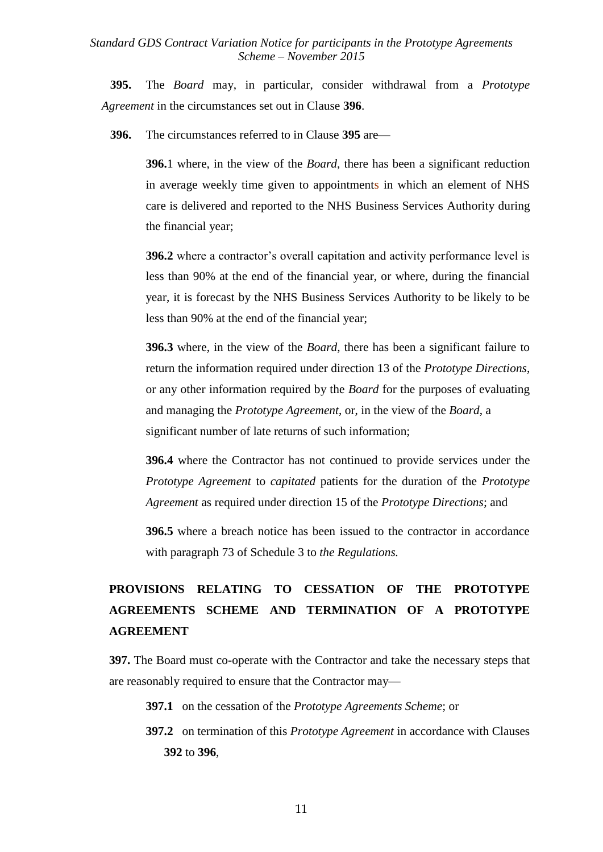**395.** The *Board* may, in particular, consider withdrawal from a *Prototype Agreement* in the circumstances set out in Clause **396**.

**396.** The circumstances referred to in Clause **395** are—

**396.**1 where, in the view of the *Board*, there has been a significant reduction in average weekly time given to appointments in which an element of NHS care is delivered and reported to the NHS Business Services Authority during the financial year;

**396.2** where a contractor's overall capitation and activity performance level is less than 90% at the end of the financial year, or where, during the financial year, it is forecast by the NHS Business Services Authority to be likely to be less than 90% at the end of the financial year;

**396.3** where, in the view of the *Board*, there has been a significant failure to return the information required under direction 13 of the *Prototype Directions*, or any other information required by the *Board* for the purposes of evaluating and managing the *Prototype Agreement*, or, in the view of the *Board*, a significant number of late returns of such information;

**396.4** where the Contractor has not continued to provide services under the *Prototype Agreement* to *capitated* patients for the duration of the *Prototype Agreement* as required under direction 15 of the *Prototype Directions*; and

**396.5** where a breach notice has been issued to the contractor in accordance with paragraph 73 of Schedule 3 to *the Regulations.*

# **PROVISIONS RELATING TO CESSATION OF THE PROTOTYPE AGREEMENTS SCHEME AND TERMINATION OF A PROTOTYPE AGREEMENT**

**397.** The Board must co-operate with the Contractor and take the necessary steps that are reasonably required to ensure that the Contractor may—

- **397.1** on the cessation of the *Prototype Agreements Scheme*; or
- **397.2** on termination of this *Prototype Agreement* in accordance with Clauses **392** to **396**,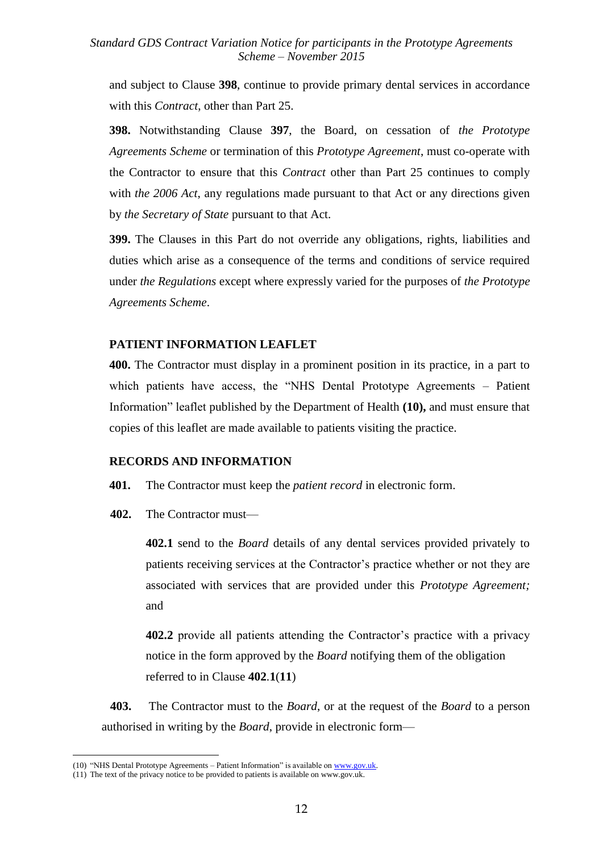and subject to Clause **398**, continue to provide primary dental services in accordance with this *Contract*, other than Part 25.

**398.** Notwithstanding Clause **397**, the Board, on cessation of *the Prototype Agreements Scheme* or termination of this *Prototype Agreement*, must co-operate with the Contractor to ensure that this *Contract* other than Part 25 continues to comply with *the 2006 Act*, any regulations made pursuant to that Act or any directions given by *the Secretary of State* pursuant to that Act.

**399.** The Clauses in this Part do not override any obligations, rights, liabilities and duties which arise as a consequence of the terms and conditions of service required under *the Regulations* except where expressly varied for the purposes of *the Prototype Agreements Scheme*.

#### **PATIENT INFORMATION LEAFLET**

**400.** The Contractor must display in a prominent position in its practice, in a part to which patients have access, the "NHS Dental Prototype Agreements – Patient Information" leaflet published by the Department of Health **(10),** and must ensure that copies of this leaflet are made available to patients visiting the practice.

#### **RECORDS AND INFORMATION**

- **401.** The Contractor must keep the *patient record* in electronic form.
- **402.** The Contractor must—

**402.1** send to the *Board* details of any dental services provided privately to patients receiving services at the Contractor's practice whether or not they are associated with services that are provided under this *Prototype Agreement;*  and

**402.2** provide all patients attending the Contractor's practice with a privacy notice in the form approved by the *Board* notifying them of the obligation referred to in Clause **402**.**1**(**11**)

**403.** The Contractor must to the *Board*, or at the request of the *Board* to a person authorised in writing by the *Board*, provide in electronic form—

1

<sup>(10)</sup> "NHS Dental Prototype Agreements – Patient Information" is available on [www.gov.uk.](../../../Documents%20and%20Settings/83580704/Local%20Settings/users/83580704/www.dh.gov.uk)

<sup>(11)</sup> The text of the privacy notice to be provided to patients is available on www.gov.uk.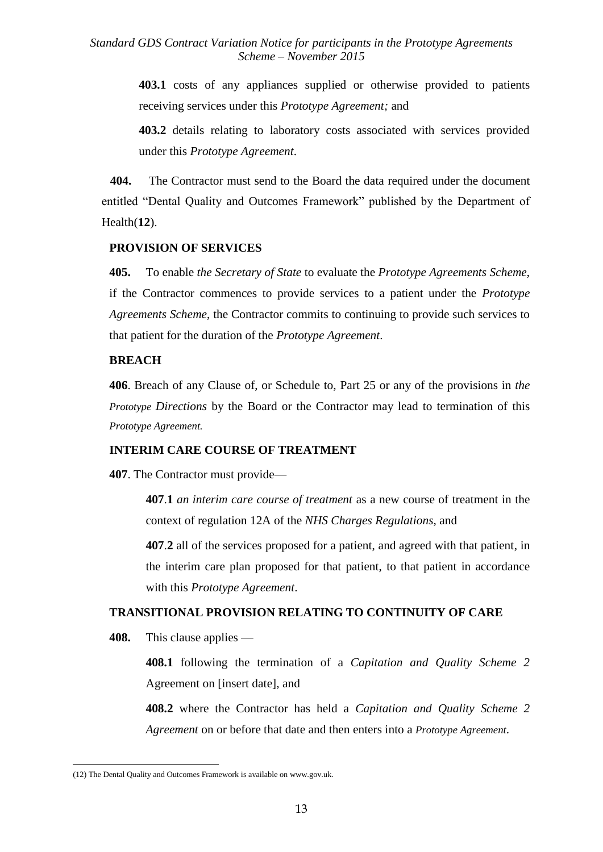> **403.1** costs of any appliances supplied or otherwise provided to patients receiving services under this *Prototype Agreement;* and

> **403.2** details relating to laboratory costs associated with services provided under this *Prototype Agreement*.

**404.** The Contractor must send to the Board the data required under the document entitled "Dental Quality and Outcomes Framework" published by the Department of Health(**12**).

#### **PROVISION OF SERVICES**

**405.** To enable *the Secretary of State* to evaluate the *Prototype Agreements Scheme*, if the Contractor commences to provide services to a patient under the *Prototype Agreements Scheme*, the Contractor commits to continuing to provide such services to that patient for the duration of the *Prototype Agreement*.

#### **BREACH**

**406**. Breach of any Clause of, or Schedule to, Part 25 or any of the provisions in *the Prototype Directions* by the Board or the Contractor may lead to termination of this *Prototype Agreement.*

#### **INTERIM CARE COURSE OF TREATMENT**

**407**. The Contractor must provide—

**407**.**1** *an interim care course of treatment* as a new course of treatment in the context of regulation 12A of the *NHS Charges Regulations*, and

**407**.**2** all of the services proposed for a patient, and agreed with that patient, in the interim care plan proposed for that patient, to that patient in accordance with this *Prototype Agreement*.

#### **TRANSITIONAL PROVISION RELATING TO CONTINUITY OF CARE**

**408.** This clause applies —

1

**408.1** following the termination of a *Capitation and Quality Scheme 2* Agreement on [insert date], and

**408.2** where the Contractor has held a *Capitation and Quality Scheme 2 Agreement* on or before that date and then enters into a *Prototype Agreement*.

<sup>(12)</sup> The Dental Quality and Outcomes Framework is available on www.gov.uk.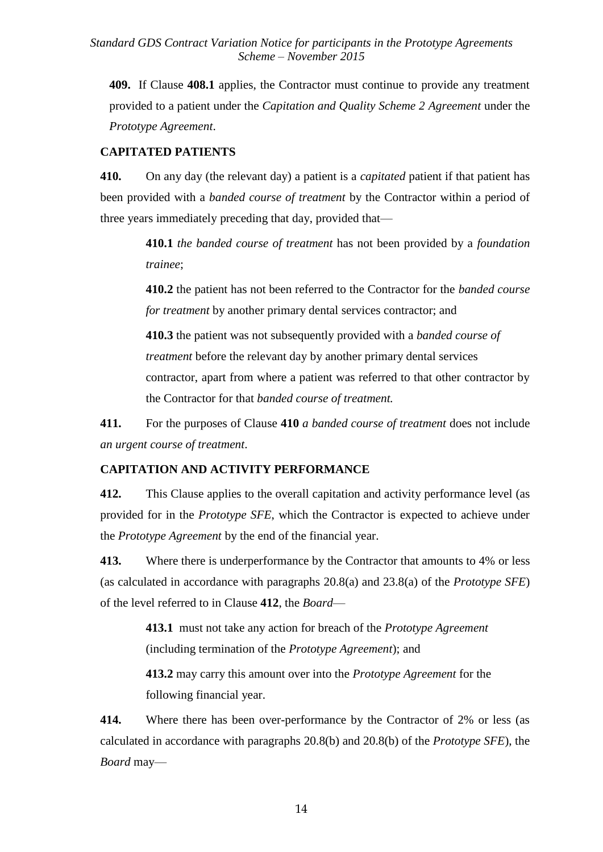**409.** If Clause **408.1** applies, the Contractor must continue to provide any treatment provided to a patient under the *Capitation and Quality Scheme 2 Agreement* under the *Prototype Agreement*.

## **CAPITATED PATIENTS**

**410.** On any day (the relevant day) a patient is a *capitated* patient if that patient has been provided with a *banded course of treatment* by the Contractor within a period of three years immediately preceding that day, provided that—

> **410.1** *the banded course of treatment* has not been provided by a *foundation trainee*;

> **410.2** the patient has not been referred to the Contractor for the *banded course for treatment* by another primary dental services contractor; and

> **410.3** the patient was not subsequently provided with a *banded course of treatment* before the relevant day by another primary dental services contractor, apart from where a patient was referred to that other contractor by the Contractor for that *banded course of treatment.*

**411.** For the purposes of Clause **410** *a banded course of treatment* does not include *an urgent course of treatment*.

## **CAPITATION AND ACTIVITY PERFORMANCE**

**412.** This Clause applies to the overall capitation and activity performance level (as provided for in the *Prototype SFE*, which the Contractor is expected to achieve under the *Prototype Agreement* by the end of the financial year.

**413.** Where there is underperformance by the Contractor that amounts to 4% or less (as calculated in accordance with paragraphs 20.8(a) and 23.8(a) of the *Prototype SFE*) of the level referred to in Clause **412**, the *Board*—

> **413.1** must not take any action for breach of the *Prototype Agreement* (including termination of the *Prototype Agreement*); and

> **413.2** may carry this amount over into the *Prototype Agreement* for the following financial year.

**414.** Where there has been over-performance by the Contractor of 2% or less (as calculated in accordance with paragraphs 20.8(b) and 20.8(b) of the *Prototype SFE*), the *Board* may—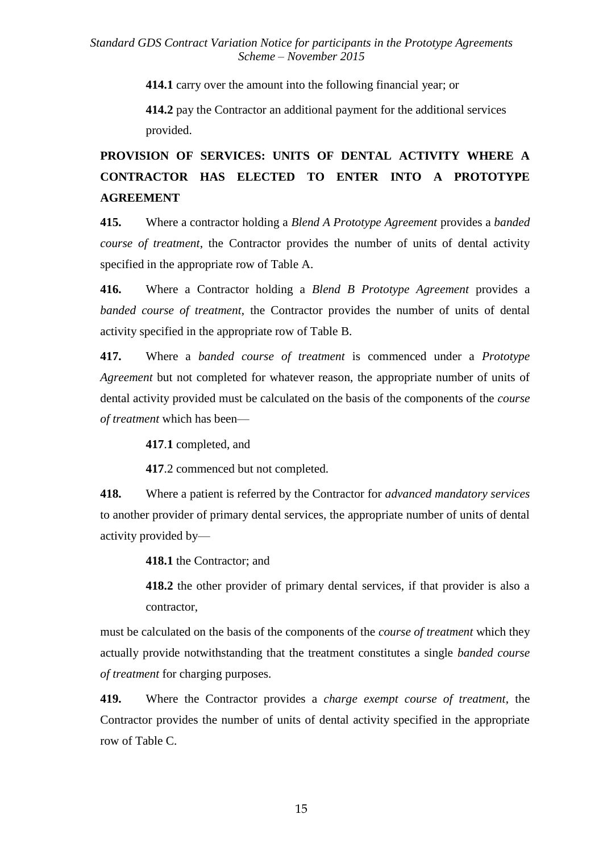**414.1** carry over the amount into the following financial year; or

**414.2** pay the Contractor an additional payment for the additional services provided.

# **PROVISION OF SERVICES: UNITS OF DENTAL ACTIVITY WHERE A CONTRACTOR HAS ELECTED TO ENTER INTO A PROTOTYPE AGREEMENT**

**415.** Where a contractor holding a *Blend A Prototype Agreement* provides a *banded course of treatment*, the Contractor provides the number of units of dental activity specified in the appropriate row of Table A.

**416.** Where a Contractor holding a *Blend B Prototype Agreement* provides a *banded course of treatment*, the Contractor provides the number of units of dental activity specified in the appropriate row of Table B.

**417.** Where a *banded course of treatment* is commenced under a *Prototype Agreement* but not completed for whatever reason, the appropriate number of units of dental activity provided must be calculated on the basis of the components of the *course of treatment* which has been—

**417**.**1** completed, and

**417**.2 commenced but not completed.

**418.** Where a patient is referred by the Contractor for *advanced mandatory services* to another provider of primary dental services, the appropriate number of units of dental activity provided by—

**418.1** the Contractor; and

**418.2** the other provider of primary dental services, if that provider is also a contractor,

must be calculated on the basis of the components of the *course of treatment* which they actually provide notwithstanding that the treatment constitutes a single *banded course of treatment* for charging purposes.

**419.** Where the Contractor provides a *charge exempt course of treatment*, the Contractor provides the number of units of dental activity specified in the appropriate row of Table C.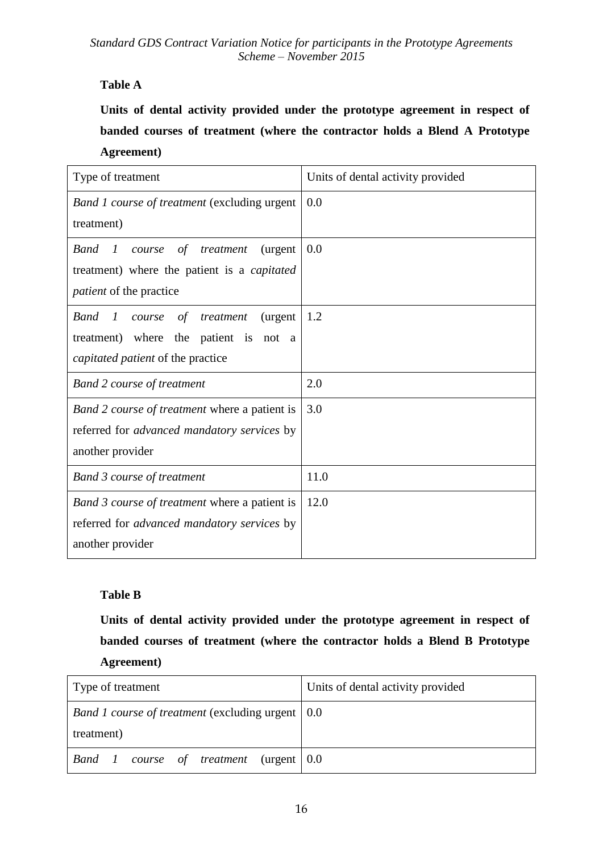# **Table A**

**Units of dental activity provided under the prototype agreement in respect of banded courses of treatment (where the contractor holds a Blend A Prototype Agreement)**

| Type of treatment                                                       | Units of dental activity provided |
|-------------------------------------------------------------------------|-----------------------------------|
| <b>Band 1 course of treatment (excluding urgent</b>                     | 0.0                               |
| treatment)                                                              |                                   |
| <b>Band</b><br>$\mathbf{I}$<br>course<br>of<br>treatment<br>(urgent)    | 0.0                               |
| treatment) where the patient is a capitated                             |                                   |
| <i>patient</i> of the practice                                          |                                   |
| <b>Band</b><br>$\boldsymbol{l}$<br>(urgent<br>of<br>course<br>treatment | 1.2                               |
| treatment) where<br>the patient is<br>not<br><sub>a</sub>               |                                   |
| capitated patient of the practice                                       |                                   |
| <b>Band 2 course of treatment</b>                                       | 2.0                               |
| <i>Band 2 course of treatment</i> where a patient is                    | 3.0                               |
| referred for <i>advanced mandatory services</i> by                      |                                   |
| another provider                                                        |                                   |
| <b>Band 3 course of treatment</b>                                       | 11.0                              |
| Band 3 course of treatment where a patient is                           | 12.0                              |
| referred for <i>advanced mandatory services</i> by                      |                                   |
| another provider                                                        |                                   |

## **Table B**

**Units of dental activity provided under the prototype agreement in respect of banded courses of treatment (where the contractor holds a Blend B Prototype Agreement)**

| Type of treatment                                         | Units of dental activity provided |
|-----------------------------------------------------------|-----------------------------------|
| <i>Band 1 course of treatment</i> (excluding urgent   0.0 |                                   |
| treatment)                                                |                                   |
| <b>Band</b> 1 course of treatment (urgent 0.0             |                                   |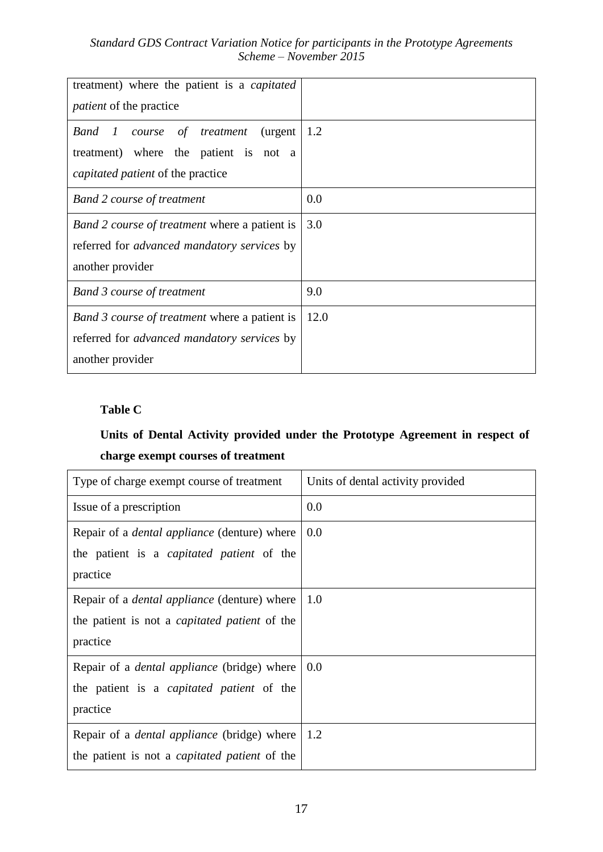| treatment) where the patient is a <i>capitated</i><br><i>patient</i> of the practice |      |
|--------------------------------------------------------------------------------------|------|
|                                                                                      |      |
| Band 1<br>of treatment<br>(urgent)<br>course                                         | 1.2  |
| treatment) where the patient is not a                                                |      |
| <i>capitated patient</i> of the practice                                             |      |
| <b>Band 2 course of treatment</b>                                                    | 0.0  |
| Band 2 course of treatment where a patient is                                        | 3.0  |
| referred for <i>advanced mandatory services</i> by                                   |      |
| another provider                                                                     |      |
| <b>Band 3 course of treatment</b>                                                    | 9.0  |
| Band 3 course of treatment where a patient is                                        | 12.0 |
| referred for <i>advanced mandatory services</i> by                                   |      |
| another provider                                                                     |      |

# **Table C**

# **Units of Dental Activity provided under the Prototype Agreement in respect of charge exempt courses of treatment**

| Type of charge exempt course of treatment            | Units of dental activity provided |
|------------------------------------------------------|-----------------------------------|
| Issue of a prescription                              | 0.0                               |
| Repair of a <i>dental appliance</i> (denture) where  | 0.0                               |
| the patient is a <i>capitated patient</i> of the     |                                   |
| practice                                             |                                   |
| Repair of a <i>dental appliance</i> (denture) where  | 1.0                               |
| the patient is not a <i>capitated patient</i> of the |                                   |
| practice                                             |                                   |
| Repair of a <i>dental appliance</i> (bridge) where   | 0.0                               |
| the patient is a <i>capitated patient</i> of the     |                                   |
| practice                                             |                                   |
| Repair of a <i>dental appliance</i> (bridge) where   | 1.2                               |
| the patient is not a <i>capitated patient</i> of the |                                   |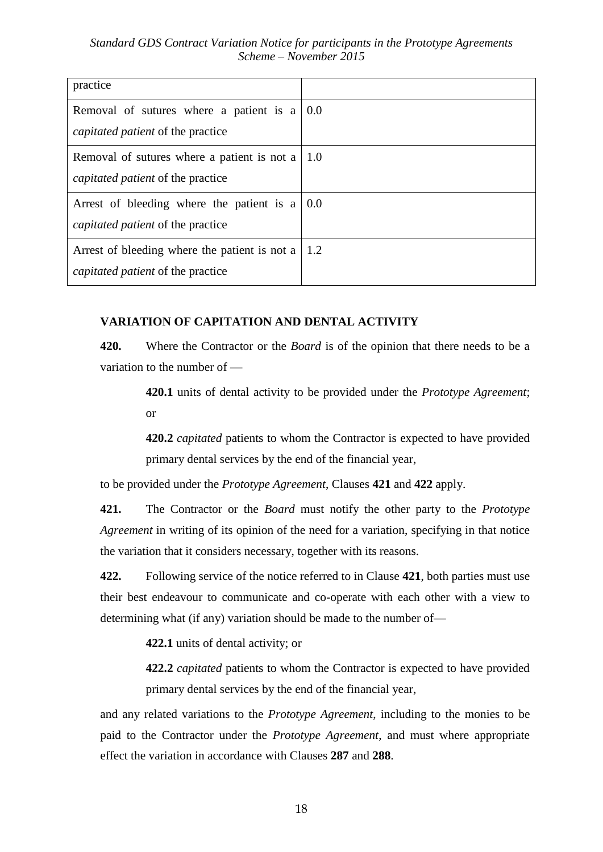| practice                                      |     |
|-----------------------------------------------|-----|
| Removal of sutures where a patient is a       | 0.0 |
| <i>capitated patient</i> of the practice      |     |
| Removal of sutures where a patient is not a   | 1.0 |
| <i>capitated patient</i> of the practice      |     |
| Arrest of bleeding where the patient is a     | 0.0 |
| <i>capitated patient</i> of the practice      |     |
| Arrest of bleeding where the patient is not a | 1.2 |
| <i>capitated patient</i> of the practice      |     |

## **VARIATION OF CAPITATION AND DENTAL ACTIVITY**

**420.** Where the Contractor or the *Board* is of the opinion that there needs to be a variation to the number of —

> **420.1** units of dental activity to be provided under the *Prototype Agreement*; or

> **420.2** *capitated* patients to whom the Contractor is expected to have provided primary dental services by the end of the financial year,

to be provided under the *Prototype Agreement*, Clauses **421** and **422** apply.

**421.** The Contractor or the *Board* must notify the other party to the *Prototype Agreement* in writing of its opinion of the need for a variation, specifying in that notice the variation that it considers necessary, together with its reasons.

**422.** Following service of the notice referred to in Clause **421**, both parties must use their best endeavour to communicate and co-operate with each other with a view to determining what (if any) variation should be made to the number of—

**422.1** units of dental activity; or

**422.2** *capitated* patients to whom the Contractor is expected to have provided primary dental services by the end of the financial year,

and any related variations to the *Prototype Agreement*, including to the monies to be paid to the Contractor under the *Prototype Agreement*, and must where appropriate effect the variation in accordance with Clauses **287** and **288**.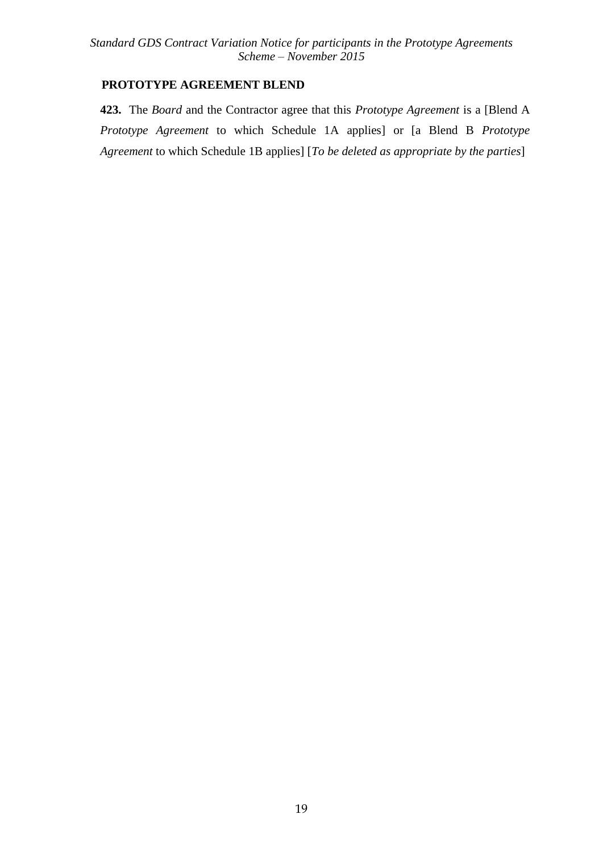## **PROTOTYPE AGREEMENT BLEND**

**423.** The *Board* and the Contractor agree that this *Prototype Agreement* is a [Blend A *Prototype Agreement* to which Schedule 1A applies] or [a Blend B *Prototype Agreement* to which Schedule 1B applies] [*To be deleted as appropriate by the parties*]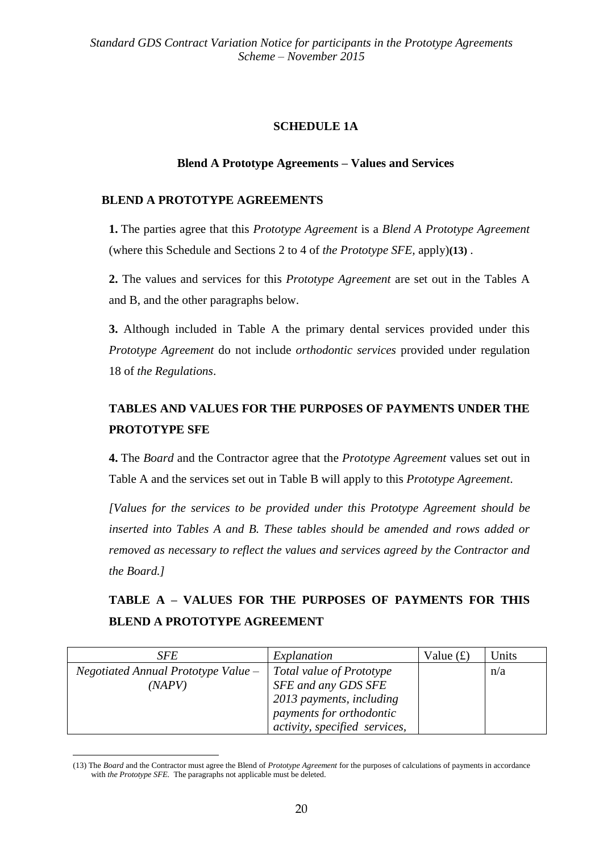## **SCHEDULE 1A**

## **Blend A Prototype Agreements – Values and Services**

## **BLEND A PROTOTYPE AGREEMENTS**

**1.** The parties agree that this *Prototype Agreement* is a *Blend A Prototype Agreement* (where this Schedule and Sections 2 to 4 of *the Prototype SFE,* apply)**(13)** .

**2.** The values and services for this *Prototype Agreement* are set out in the Tables A and B, and the other paragraphs below.

**3.** Although included in Table A the primary dental services provided under this *Prototype Agreement* do not include *orthodontic services* provided under regulation 18 of *the Regulations*.

# **TABLES AND VALUES FOR THE PURPOSES OF PAYMENTS UNDER THE PROTOTYPE SFE**

**4.** The *Board* and the Contractor agree that the *Prototype Agreement* values set out in Table A and the services set out in Table B will apply to this *Prototype Agreement*.

*[Values for the services to be provided under this Prototype Agreement should be inserted into Tables A and B. These tables should be amended and rows added or removed as necessary to reflect the values and services agreed by the Contractor and the Board.]*

# **TABLE A – VALUES FOR THE PURPOSES OF PAYMENTS FOR THIS BLEND A PROTOTYPE AGREEMENT**

| <i>SFE</i>                            | Explanation                   | Value $(f)$ | Units |
|---------------------------------------|-------------------------------|-------------|-------|
| $Negotiated$ Annual Prototype Value – | Total value of Prototype      |             | n/a   |
| (NAPV)                                | SFE and any GDS SFE           |             |       |
|                                       | 2013 payments, including      |             |       |
|                                       | payments for orthodontic      |             |       |
|                                       | activity, specified services, |             |       |

<sup>(13)</sup> The *Board* and the Contractor must agree the Blend of *Prototype Agreement* for the purposes of calculations of payments in accordance with *the Prototype SFE*. The paragraphs not applicable must be deleted.

1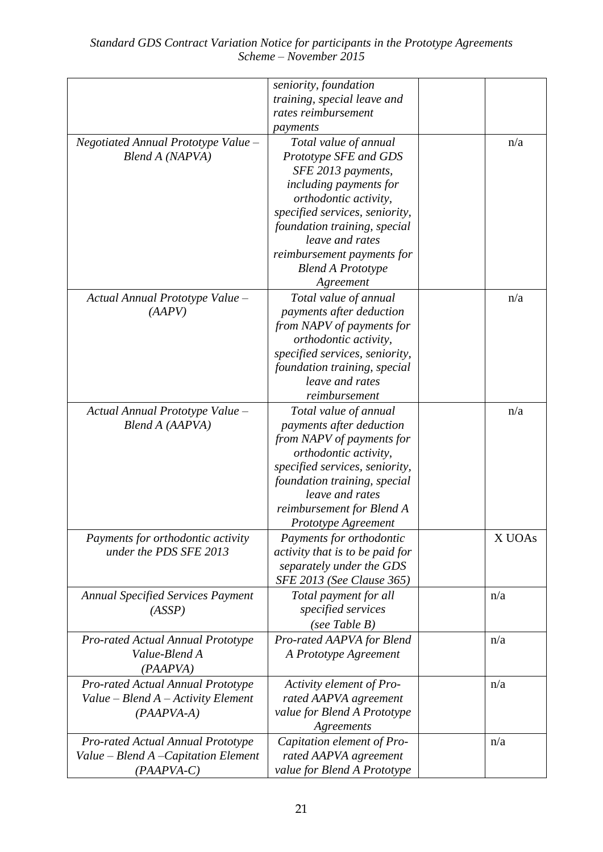|                                          | seniority, foundation                  |        |
|------------------------------------------|----------------------------------------|--------|
|                                          | training, special leave and            |        |
|                                          | rates reimbursement                    |        |
|                                          | payments                               |        |
| Negotiated Annual Prototype Value -      | Total value of annual                  | n/a    |
| Blend A (NAPVA)                          | Prototype SFE and GDS                  |        |
|                                          | SFE 2013 payments,                     |        |
|                                          | including payments for                 |        |
|                                          | orthodontic activity,                  |        |
|                                          | specified services, seniority,         |        |
|                                          | foundation training, special           |        |
|                                          | leave and rates                        |        |
|                                          | reimbursement payments for             |        |
|                                          | <b>Blend A Prototype</b>               |        |
|                                          | Agreement                              |        |
| Actual Annual Prototype Value -          | Total value of annual                  | n/a    |
| (AAPV)                                   | payments after deduction               |        |
|                                          | from NAPV of payments for              |        |
|                                          | orthodontic activity,                  |        |
|                                          | specified services, seniority,         |        |
|                                          | foundation training, special           |        |
|                                          | leave and rates                        |        |
|                                          | reimbursement                          |        |
| Actual Annual Prototype Value -          | Total value of annual                  | n/a    |
| Blend A (AAPVA)                          | payments after deduction               |        |
|                                          | from NAPV of payments for              |        |
|                                          | orthodontic activity,                  |        |
|                                          | specified services, seniority,         |        |
|                                          | foundation training, special           |        |
|                                          | leave and rates                        |        |
|                                          | reimbursement for Blend A              |        |
|                                          | Prototype Agreement                    |        |
| Payments for orthodontic activity        | Payments for orthodontic               | X UOAs |
| under the PDS SFE 2013                   | <i>activity that is to be paid for</i> |        |
|                                          | separately under the GDS               |        |
|                                          | SFE 2013 (See Clause 365)              |        |
| <b>Annual Specified Services Payment</b> | Total payment for all                  | n/a    |
| (ASSP)                                   | specified services                     |        |
|                                          | (see Table $B$ )                       |        |
| Pro-rated Actual Annual Prototype        | Pro-rated AAPVA for Blend              | n/a    |
| Value-Blend A                            | A Prototype Agreement                  |        |
| (PAAPVA)                                 |                                        |        |
| Pro-rated Actual Annual Prototype        | Activity element of Pro-               | n/a    |
| Value - Blend A - Activity Element       | rated AAPVA agreement                  |        |
| $(PAAPVA-A)$                             | value for Blend A Prototype            |        |
|                                          | Agreements                             |        |
| <b>Pro-rated Actual Annual Prototype</b> | Capitation element of Pro-             | n/a    |
| Value - Blend A - Capitation Element     | rated AAPVA agreement                  |        |
| $(PAAPVA-C)$                             | value for Blend A Prototype            |        |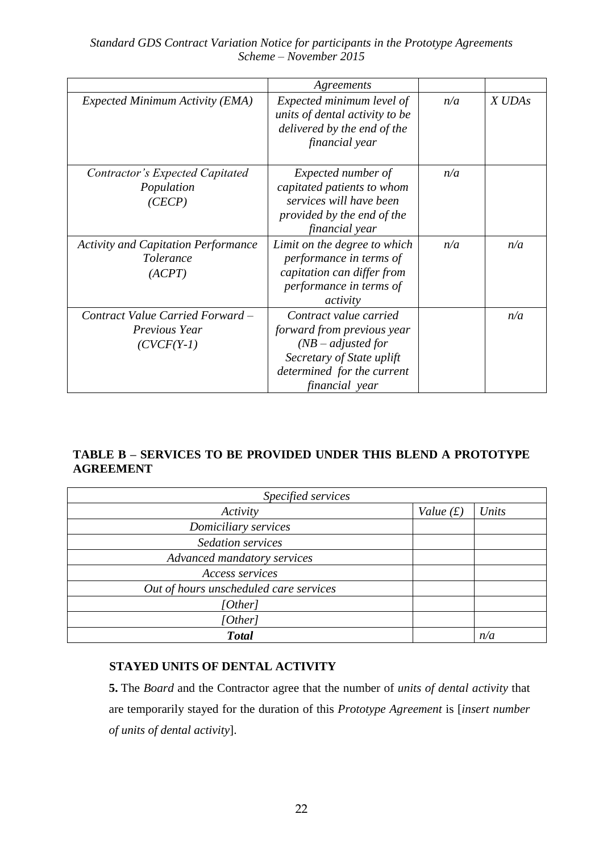|                                                                           | Agreements                                                                                                                                                |     |        |
|---------------------------------------------------------------------------|-----------------------------------------------------------------------------------------------------------------------------------------------------------|-----|--------|
| <b>Expected Minimum Activity (EMA)</b>                                    | Expected minimum level of<br>units of dental activity to be<br>delivered by the end of the<br>financial year                                              | n/a | X UDAs |
| Contractor's Expected Capitated<br>Population<br>(CECP)                   | Expected number of<br>capitated patients to whom<br>services will have been<br>provided by the end of the<br>financial year                               | n/a |        |
| <b>Activity and Capitation Performance</b><br><i>Tolerance</i><br>(ACPT)  | Limit on the degree to which<br>performance in terms of<br>capitation can differ from<br>performance in terms of<br>activity                              | n/a | n/a    |
| Contract Value Carried Forward -<br><i>Previous Year</i><br>$(CVCF(Y-1))$ | Contract value carried<br>forward from previous year<br>$(NB - adjusted for$<br>Secretary of State uplift<br>determined for the current<br>financial year |     | n/a    |

## **TABLE B – SERVICES TO BE PROVIDED UNDER THIS BLEND A PROTOTYPE AGREEMENT**

| Specified services                     |             |       |  |
|----------------------------------------|-------------|-------|--|
| Activity                               | Value $(f)$ | Units |  |
| Domiciliary services                   |             |       |  |
| <b>Sedation services</b>               |             |       |  |
| Advanced mandatory services            |             |       |  |
| Access services                        |             |       |  |
| Out of hours unscheduled care services |             |       |  |
| [Other]                                |             |       |  |
| [Other]                                |             |       |  |
| <b>Total</b>                           |             | n/a   |  |

## **STAYED UNITS OF DENTAL ACTIVITY**

**5.** The *Board* and the Contractor agree that the number of *units of dental activity* that are temporarily stayed for the duration of this *Prototype Agreement* is [*insert number of units of dental activity*].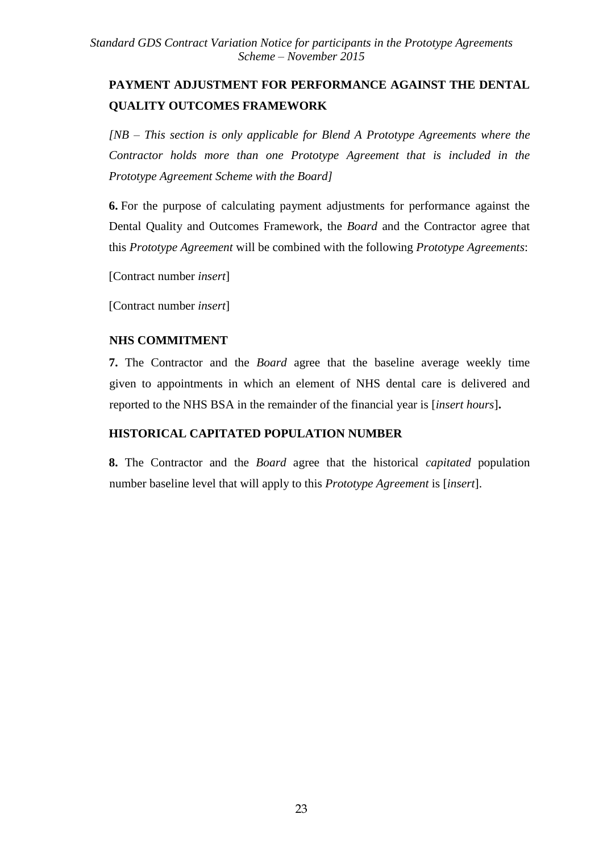# **PAYMENT ADJUSTMENT FOR PERFORMANCE AGAINST THE DENTAL QUALITY OUTCOMES FRAMEWORK**

*[NB – This section is only applicable for Blend A Prototype Agreements where the Contractor holds more than one Prototype Agreement that is included in the Prototype Agreement Scheme with the Board]*

**6.** For the purpose of calculating payment adjustments for performance against the Dental Quality and Outcomes Framework, the *Board* and the Contractor agree that this *Prototype Agreement* will be combined with the following *Prototype Agreements*:

[Contract number *insert*]

[Contract number *insert*]

## **NHS COMMITMENT**

**7.** The Contractor and the *Board* agree that the baseline average weekly time given to appointments in which an element of NHS dental care is delivered and reported to the NHS BSA in the remainder of the financial year is [*insert hours*]**.**

## **HISTORICAL CAPITATED POPULATION NUMBER**

**8.** The Contractor and the *Board* agree that the historical *capitated* population number baseline level that will apply to this *Prototype Agreement* is [*insert*].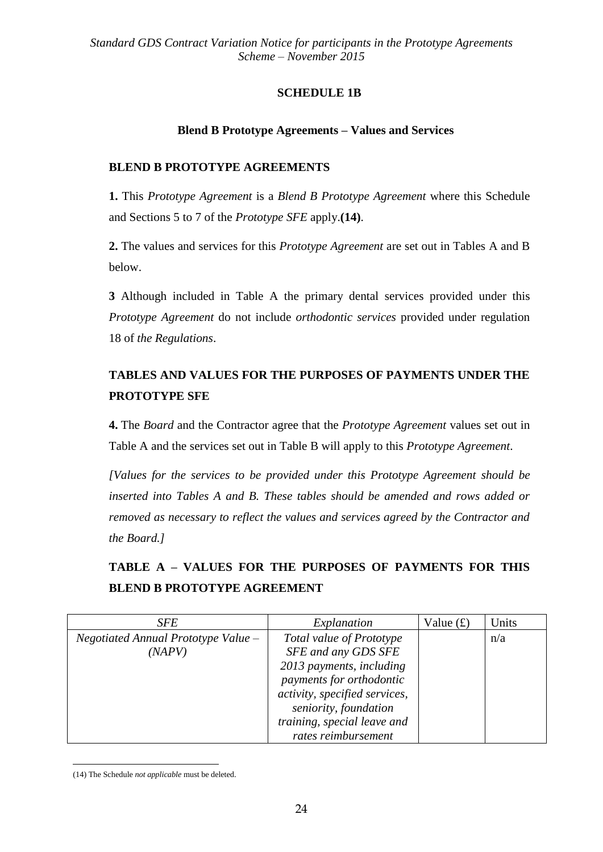## **SCHEDULE 1B**

## **Blend B Prototype Agreements – Values and Services**

## **BLEND B PROTOTYPE AGREEMENTS**

**1.** This *Prototype Agreement* is a *Blend B Prototype Agreement* where this Schedule and Sections 5 to 7 of the *Prototype SFE* apply.**(14)**.

**2.** The values and services for this *Prototype Agreement* are set out in Tables A and B below.

**3** Although included in Table A the primary dental services provided under this *Prototype Agreement* do not include *orthodontic services* provided under regulation 18 of *the Regulations*.

# **TABLES AND VALUES FOR THE PURPOSES OF PAYMENTS UNDER THE PROTOTYPE SFE**

**4.** The *Board* and the Contractor agree that the *Prototype Agreement* values set out in Table A and the services set out in Table B will apply to this *Prototype Agreement*.

*[Values for the services to be provided under this Prototype Agreement should be inserted into Tables A and B. These tables should be amended and rows added or removed as necessary to reflect the values and services agreed by the Contractor and the Board.]*

# **TABLE A – VALUES FOR THE PURPOSES OF PAYMENTS FOR THIS BLEND B PROTOTYPE AGREEMENT**

| <i>SFE</i>                            | Explanation                   | Value $(f)$ | Units |
|---------------------------------------|-------------------------------|-------------|-------|
| Negotiated Annual Prototype Value $-$ | Total value of Prototype      |             | n/a   |
| (NAPV)                                | SFE and any GDS SFE           |             |       |
|                                       | 2013 payments, including      |             |       |
|                                       | payments for orthodontic      |             |       |
|                                       | activity, specified services, |             |       |
|                                       | seniority, foundation         |             |       |
|                                       | training, special leave and   |             |       |
|                                       | rates reimbursement           |             |       |

1 (14) The Schedule *not applicable* must be deleted.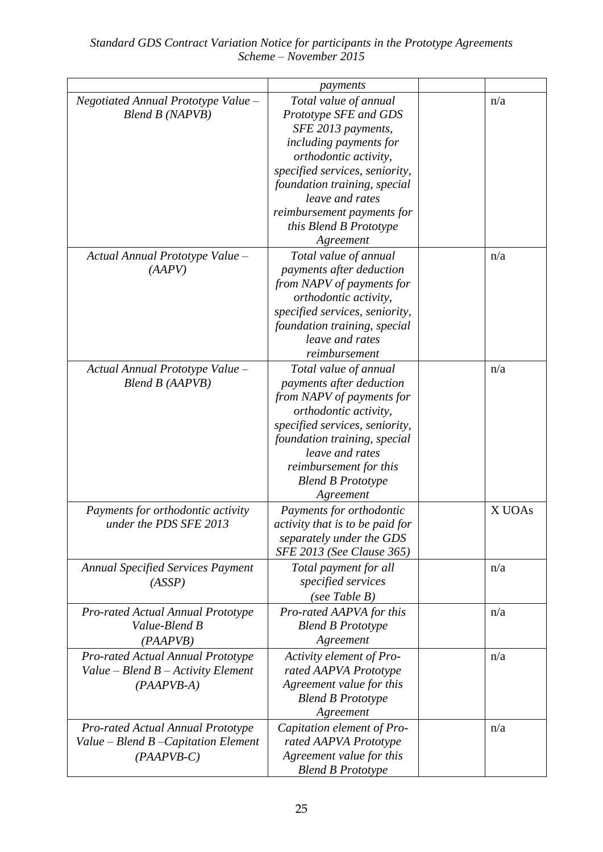|                                                                                           | payments                                                                                                                                                                                                                                                                          |        |
|-------------------------------------------------------------------------------------------|-----------------------------------------------------------------------------------------------------------------------------------------------------------------------------------------------------------------------------------------------------------------------------------|--------|
| Negotiated Annual Prototype Value -<br>Blend B (NAPVB)                                    | Total value of annual<br>Prototype SFE and GDS<br>SFE 2013 payments,<br>including payments for<br>orthodontic activity,<br>specified services, seniority,<br>foundation training, special<br>leave and rates<br>reimbursement payments for<br>this Blend B Prototype<br>Agreement | n/a    |
| Actual Annual Prototype Value -<br>(AAPV)                                                 | Total value of annual<br>payments after deduction<br>from NAPV of payments for<br>orthodontic activity,<br>specified services, seniority,<br>foundation training, special<br>leave and rates<br>reimbursement                                                                     | n/a    |
| Actual Annual Prototype Value -<br>Blend B (AAPVB)                                        | Total value of annual<br>payments after deduction<br>from NAPV of payments for<br>orthodontic activity,<br>specified services, seniority,<br>foundation training, special<br>leave and rates<br>reimbursement for this<br><b>Blend B Prototype</b><br>Agreement                   | n/a    |
| Payments for orthodontic activity<br>under the PDS SFE 2013                               | Payments for orthodontic<br><i>activity that is to be paid for</i><br>separately under the GDS<br>SFE 2013 (See Clause 365)                                                                                                                                                       | X UOAs |
| <b>Annual Specified Services Payment</b><br>(ASSP)                                        | Total payment for all<br>specified services<br>(see Table $B$ )                                                                                                                                                                                                                   | n/a    |
| <b>Pro-rated Actual Annual Prototype</b><br>Value-Blend B<br>(PAAPVB)                     | Pro-rated AAPVA for this<br><b>Blend B Prototype</b><br>Agreement                                                                                                                                                                                                                 | n/a    |
| Pro-rated Actual Annual Prototype<br>Value – Blend $B$ – Activity Element<br>$(PAAPVB-A)$ | Activity element of Pro-<br>rated AAPVA Prototype<br>Agreement value for this<br><b>Blend B Prototype</b><br>Agreement                                                                                                                                                            | n/a    |
| Pro-rated Actual Annual Prototype<br>Value – Blend B – Capitation Element<br>$(PAAPVB-C)$ | Capitation element of Pro-<br>rated AAPVA Prototype<br>Agreement value for this<br><b>Blend B Prototype</b>                                                                                                                                                                       | n/a    |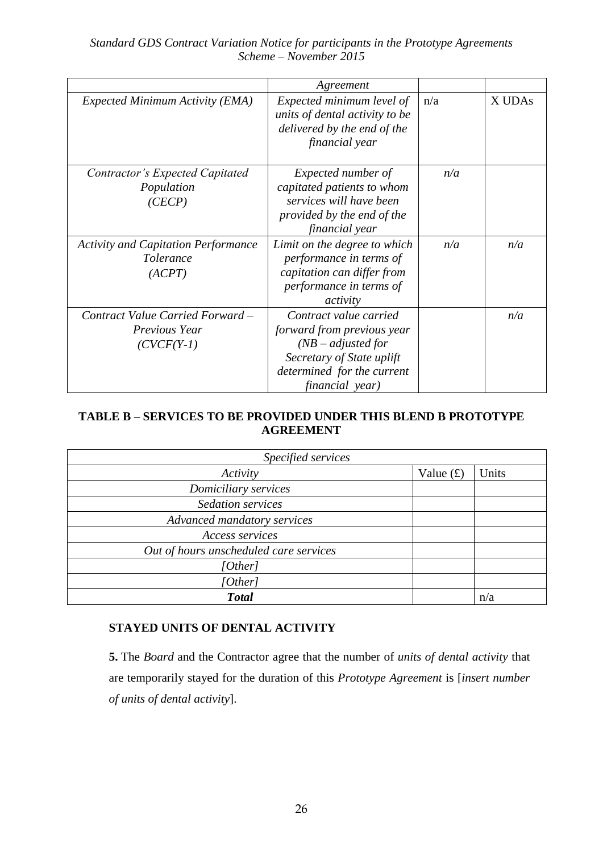|                                                                           | Agreement                                                                                                                                                  |     |        |
|---------------------------------------------------------------------------|------------------------------------------------------------------------------------------------------------------------------------------------------------|-----|--------|
| <b>Expected Minimum Activity (EMA)</b>                                    | Expected minimum level of<br>units of dental activity to be<br>delivered by the end of the<br>financial year                                               | n/a | X UDAs |
| Contractor's Expected Capitated<br>Population<br>(CECP)                   | Expected number of<br>capitated patients to whom<br>services will have been<br>provided by the end of the<br>financial year                                | n/a |        |
| <b>Activity and Capitation Performance</b><br><i>Tolerance</i><br>(ACPT)  | Limit on the degree to which<br>performance in terms of<br>capitation can differ from<br>performance in terms of<br>activity                               | n/a | n/a    |
| Contract Value Carried Forward -<br><i>Previous Year</i><br>$(CVCF(Y-1))$ | Contract value carried<br>forward from previous year<br>$(NB - adjusted for$<br>Secretary of State uplift<br>determined for the current<br>financial year) |     | n/a    |

## **TABLE B – SERVICES TO BE PROVIDED UNDER THIS BLEND B PROTOTYPE AGREEMENT**

| Specified services                     |             |       |
|----------------------------------------|-------------|-------|
| Activity                               | Value $(f)$ | Units |
| Domiciliary services                   |             |       |
| <b>Sedation services</b>               |             |       |
| Advanced mandatory services            |             |       |
| <b>Access services</b>                 |             |       |
| Out of hours unscheduled care services |             |       |
| [Other]                                |             |       |
| [Other]                                |             |       |
| <b>Total</b>                           |             | n/a   |

## **STAYED UNITS OF DENTAL ACTIVITY**

**5.** The *Board* and the Contractor agree that the number of *units of dental activity* that are temporarily stayed for the duration of this *Prototype Agreement* is [*insert number of units of dental activity*].